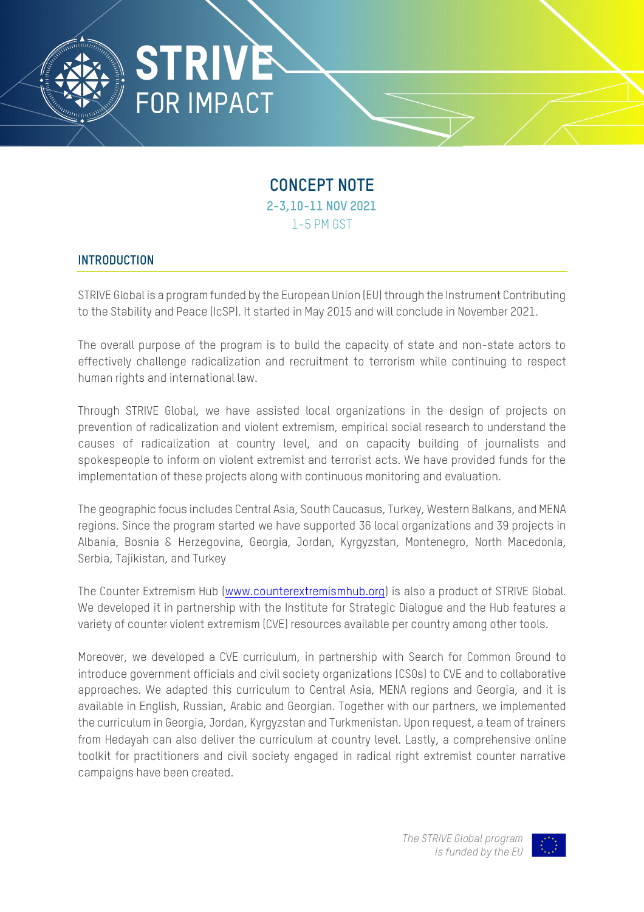

## **CONCEPT NOTE 2-3,10-11 NOV 2021** 1-5 PM GST

## **INTRODUCTION**

STRIVE Global is a program funded by the European Union (EU) through the Instrument Contributing to the Stability and Peace (IcSP). It started in May 2015 and will conclude in November 2021.

The overall purpose of the program is to build the capacity of state and non-state actors to effectively challenge radicalization and recruitment to terrorism while continuing to respect human rights and international law.

Through STRIVE Global, we have assisted local organizations in the design of projects on prevention of radicalization and violent extremism, empirical social research to understand the causes of radicalization at country level, and on capacity building of journalists and spokespeople to inform on violent extremist and terrorist acts. We have provided funds for the implementation of these projects along with continuous monitoring and evaluation.

The geographic focus includes Central Asia, South Caucasus, Turkey, Western Balkans, and MENA regions. Since the program started we have supported 36 local organizations and 39 projects in Albania, Bosnia & Herzegovina, Georgia, Jordan, Kyrgyzstan, Montenegro, North Macedonia, Serbia, Tajikistan, and Turkey

The Counter Extremism Hub (www.counterextremismhub.org) is also a product of STRIVE Global. We developed it in partnership with the Institute for Strategic Dialogue and the Hub features a variety of counter violent extremism (CVE) resources available per country among other tools.

Moreover, we developed a CVE curriculum, in partnership with Search for Common Ground to introduce government officials and civil society organizations (CSOs) to CVE and to collaborative approaches. We adapted this curriculum to Central Asia, MENA regions and Georgia, and it is available in English, Russian, Arabic and Georgian. Together with our partners, we implemented the curriculum in Georgia, Jordan, Kyrgyzstan and Turkmenistan. Upon request, a team of trainers from Hedayah can also deliver the curriculum at country level. Lastly, a comprehensive online toolkit for practitioners and civil society engaged in radical right extremist counter narrative campaigns have been created.